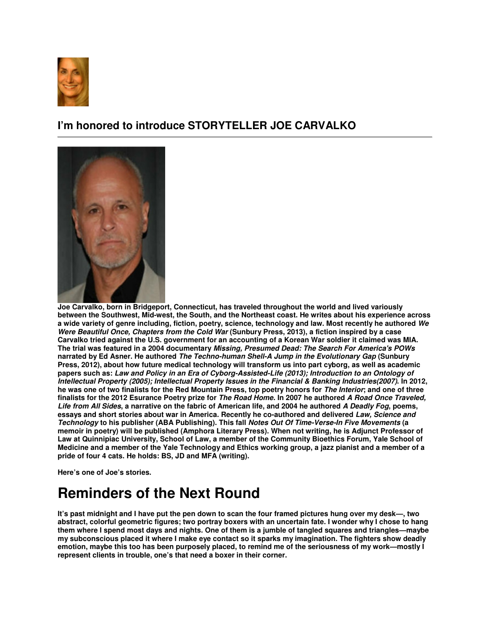

## **I'm honored to introduce STORYTELLER JOE CARVALKO**



**Joe Carvalko, born in Bridgeport, Connecticut, has traveled throughout the world and lived variously between the Southwest, Mid-west, the South, and the Northeast coast. He writes about his experience across a wide variety of genre including, fiction, poetry, science, technology and law. Most recently he authored We Were Beautiful Once, Chapters from the Cold War (Sunbury Press, 2013), a fiction inspired by a case Carvalko tried against the U.S. government for an accounting of a Korean War soldier it claimed was MIA. The trial was featured in a 2004 documentary Missing, Presumed Dead: The Search For America's POWs narrated by Ed Asner. He authored The Techno-human Shell-A Jump in the Evolutionary Gap (Sunbury Press, 2012), about how future medical technology will transform us into part cyborg, as well as academic papers such as: Law and Policy in an Era of Cyborg-Assisted-Life (2013); Introduction to an Ontology of Intellectual Property (2005); Intellectual Property Issues in the Financial & Banking Industries(2007). In 2012, he was one of two finalists for the Red Mountain Press, top poetry honors for The Interior; and one of three finalists for the 2012 Esurance Poetry prize for The Road Home. In 2007 he authored A Road Once Traveled, Life from All Sides, a narrative on the fabric of American life, and 2004 he authored A Deadly Fog, poems, essays and short stories about war in America. Recently he co-authored and delivered Law, Science and Technology to his publisher (ABA Publishing). This fall Notes Out Of Time-Verse-In Five Movements (a memoir in poetry) will be published (Amphora Literary Press). When not writing, he is Adjunct Professor of Law at Quinnipiac University, School of Law, a member of the Community Bioethics Forum, Yale School of Medicine and a member of the Yale Technology and Ethics working group, a jazz pianist and a member of a pride of four 4 cats. He holds: BS, JD and MFA (writing).** 

**Here's one of Joe's stories.**

## **Reminders of the Next Round**

**It's past midnight and I have put the pen down to scan the four framed pictures hung over my desk—, two abstract, colorful geometric figures; two portray boxers with an uncertain fate. I wonder why I chose to hang them where I spend most days and nights. One of them is a jumble of tangled squares and triangles—maybe my subconscious placed it where I make eye contact so it sparks my imagination. The fighters show deadly emotion, maybe this too has been purposely placed, to remind me of the seriousness of my work—mostly I represent clients in trouble, one's that need a boxer in their corner.**